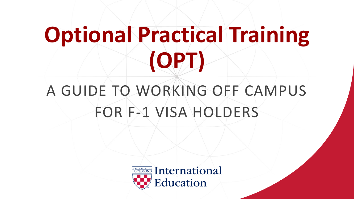## **Optional Practical Training (OPT)**

### A GUIDE TO WORKING OFF CAMPUS FOR F-1 VISA HOLDERS

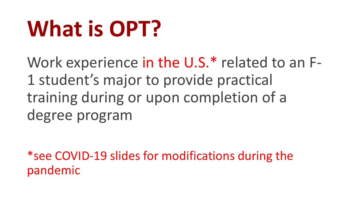## **What is OPT?**

Work experience in the U.S.\* related to an F-1 student's major to provide practical training during or upon completion of a degree program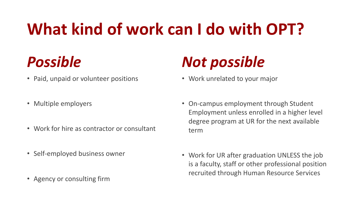### **What kind of work can I do with OPT?**

### *Possible*

- Paid, unpaid or volunteer positions
- Multiple employers
- Work for hire as contractor or consultant
- Self-employed business owner
- Agency or consulting firm

### *Not possible*

- Work unrelated to your major
- On-campus employment through Student Employment unless enrolled in a higher level degree program at UR for the next available term
- Work for UR after graduation UNLESS the job is a faculty, staff or other professional position recruited through Human Resource Services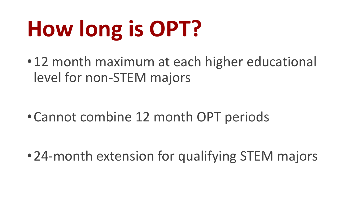## **How long is OPT?**

•12 month maximum at each higher educational level for non-STEM majors

•Cannot combine 12 month OPT periods

•24-month extension for qualifying STEM majors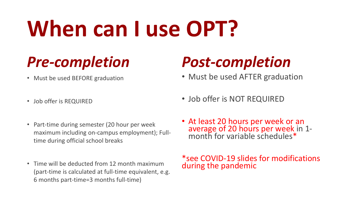## **When can I use OPT?**

### *Pre-completion*

• Must be used BEFORE graduation

### *Post-completion*

• Must be used AFTER graduation

- Job offer is REQUIRED
- Part-time during semester (20 hour per week maximum including on-campus employment); Fulltime during official school breaks
- Time will be deducted from 12 month maximum (part-time is calculated at full-time equivalent, e.g. 6 months part-time=3 months full-time)
- Job offer is NOT REQUIRED
- At least 20 hours per week or an average of 20 hours per week in 1 month for variable schedules\*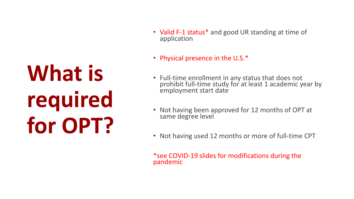## **What is required for OPT?**

- Valid F-1 status\* and good UR standing at time of application
- Physical presence in the U.S.\*
- Full-time enrollment in any status that does not prohibit full-time study for at least 1 academic year by employment start date
- Not having been approved for 12 months of OPT at same degree level
- Not having used 12 months or more of full-time CPT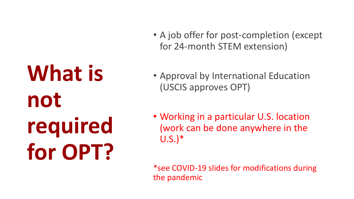**What is not required for OPT?**

- A job offer for post-completion (except for 24-month STEM extension)
- Approval by International Education (USCIS approves OPT)
- Working in a particular U.S. location (work can be done anywhere in the U.S.)\*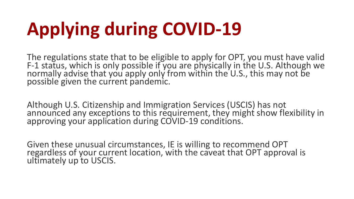## **Applying during COVID-19**

The regulations state that to be eligible to apply for OPT, you must have valid F-1 status, which is only possible if you are physically in the U.S. Although we normally advise that you apply only from within the U.S., this may not be possible given the current pandemic.

Although U.S. Citizenship and Immigration Services (USCIS) has not announced any exceptions to this requirement, they might show flexibility in approving your application during COVID-19 conditions.

Given these unusual circumstances, IE is willing to recommend OPT regardless of your current location, with the caveat that OPT approval is ultimately up to USCIS.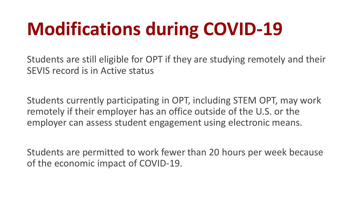### **Modifications during COVID-19**

Students are still eligible for OPT if they are studying remotely and their SEVIS record is in Active status

Students currently participating in OPT, including STEM OPT, may work remotely if their employer has an office outside of the U.S. or the employer can assess student engagement using electronic means.

Students are permitted to work fewer than 20 hours per week because of the economic impact of COVID-19.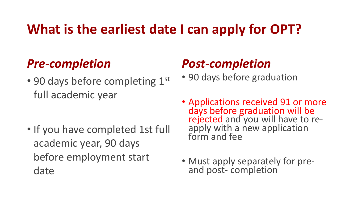### **What is the earliest date I can apply for OPT?**

#### *Pre-completion*

• 90 days before completing 1st full academic year

• If you have completed 1st full academic year, 90 days before employment start date

#### *Post-completion*

- 90 days before graduation
- Applications received 91 or more days before graduation will be rejected and you will have to reapply with a new application form and fee
- Must apply separately for preand post- completion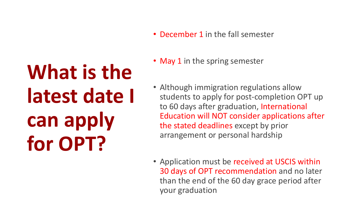## **What is the latest date I can apply for OPT?**

- December 1 in the fall semester
- May 1 in the spring semester
- Although immigration regulations allow students to apply for post-completion OPT up to 60 days after graduation, International Education will NOT consider applications after the stated deadlines except by prior arrangement or personal hardship
- Application must be received at USCIS within 30 days of OPT recommendation and no later than the end of the 60 day grace period after your graduation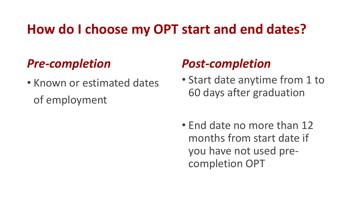### **How do I choose my OPT start and end dates?**

#### *Pre-completion*

• Known or estimated dates of employment

#### *Post-completion*

• Start date anytime from 1 to 60 days after graduation

• End date no more than 12 months from start date if you have not used precompletion OPT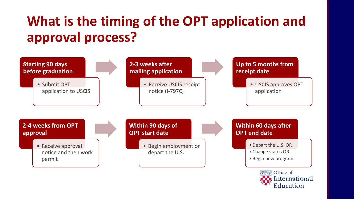### **What is the timing of the OPT application and approval process?**



Education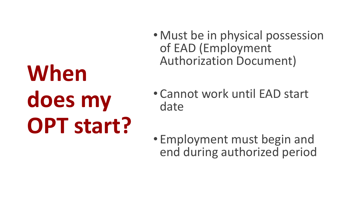# **When does my OPT start?**

- Must be in physical possession of EAD (Employment Authorization Document)
- Cannot work until EAD start date
- Employment must begin and end during authorized period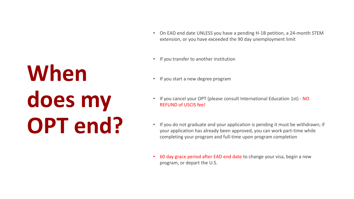## **When does my OPT end?**

- On EAD end date UNLESS you have a pending H-1B petition, a 24-month STEM extension, or you have exceeded the 90 day unemployment limit
- If you transfer to another institution
- If you start a new degree program
- If you cancel your OPT (please consult International Education 1st) NO REFUND of USCIS fee!
- If you do not graduate and your application is pending it must be withdrawn; if your application has already been approved, you can work part-time while completing your program and full-time upon program completion
- 60 day grace period after EAD end date to change your visa, begin a new program, or depart the U.S.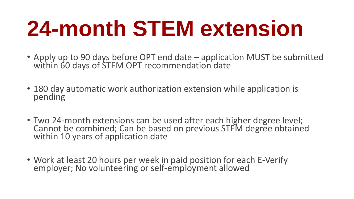## **24-month STEM extension**

- Apply up to 90 days before OPT end date application MUST be submitted within 60 days of STEM OPT recommendation date
- 180 day automatic work authorization extension while application is pending
- Two 24-month extensions can be used after each higher degree level; Cannot be combined; Can be based on previous STEM degree obtained within 10 years of application date
- Work at least 20 hours per week in paid position for each E-Verify employer; No volunteering or self-employment allowed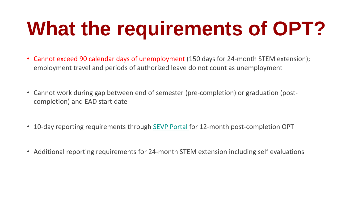## **What the requirements of OPT?**

- Cannot exceed 90 calendar days of unemployment (150 days for 24-month STEM extension); employment travel and periods of authorized leave do not count as unemployment
- Cannot work during gap between end of semester (pre-completion) or graduation (postcompletion) and EAD start date
- 10-day reporting requirements through [SEVP Portal](https://studyinthestates.dhs.gov/sevp-portal-help) for 12-month post-completion OPT
- Additional reporting requirements for 24-month STEM extension including self evaluations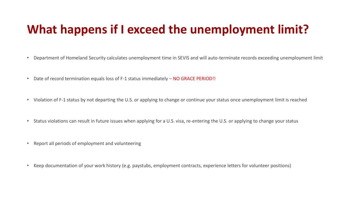#### **What happens if I exceed the unemployment limit?**

- Department of Homeland Security calculates unemployment time in SEVIS and will auto-terminate records exceeding unemployment limit
- Date of record termination equals loss of F-1 status immediately NO GRACE PERIOD!!
- Violation of F-1 status by not departing the U.S. or applying to change or continue your status once unemployment limit is reached
- Status violations can result in future issues when applying for a U.S. visa, re-entering the U.S. or applying to change your status
- Report all periods of employment and volunteering
- Keep documentation of your work history (e.g. paystubs, employment contracts, experience letters for volunteer positions)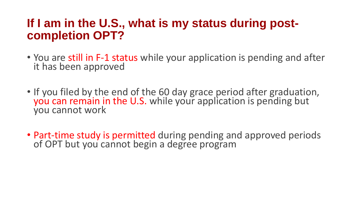#### **If I am in the U.S., what is my status during postcompletion OPT?**

- You are still in F-1 status while your application is pending and after it has been approved
- If you filed by the end of the 60 day grace period after graduation, you can remain in the U.S. while your application is pending but you cannot work
- Part-time study is permitted during pending and approved periods of OPT but you cannot begin a degree program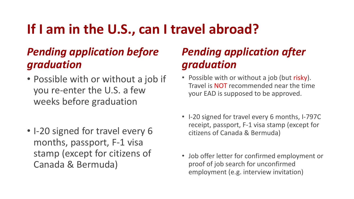### **If I am in the U.S., can I travel abroad?**

#### *Pending application before graduation*

- Possible with or without a job if you re-enter the U.S. a few weeks before graduation
- I-20 signed for travel every 6 months, passport, F-1 visa stamp (except for citizens of Canada & Bermuda)

#### *Pending application after graduation*

- Possible with or without a job (but risky). Travel is NOT recommended near the time your EAD is supposed to be approved.
- I-20 signed for travel every 6 months, I-797C receipt, passport, F-1 visa stamp (except for citizens of Canada & Bermuda)
- Job offer letter for confirmed employment or proof of job search for unconfirmed employment (e.g. interview invitation)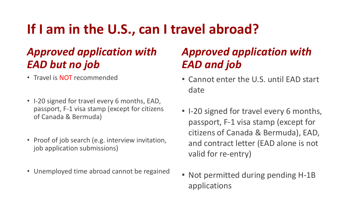### **If I am in the U.S., can I travel abroad?**

#### *Approved application with EAD but no job*

- Travel is NOT recommended
- I-20 signed for travel every 6 months, EAD, passport, F-1 visa stamp (except for citizens of Canada & Bermuda)
- Proof of job search (e.g. interview invitation, job application submissions)
- Unemployed time abroad cannot be regained

#### *Approved application with EAD and job*

- Cannot enter the U.S. until EAD start date
- I-20 signed for travel every 6 months, passport, F-1 visa stamp (except for citizens of Canada & Bermuda), EAD, and contract letter (EAD alone is not valid for re-entry)
- Not permitted during pending H-1B applications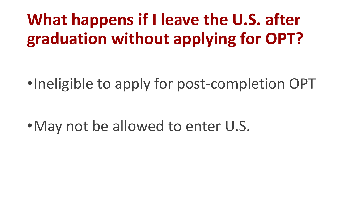### **What happens if I leave the U.S. after graduation without applying for OPT?**

•Ineligible to apply for post-completion OPT

•May not be allowed to enter U.S.